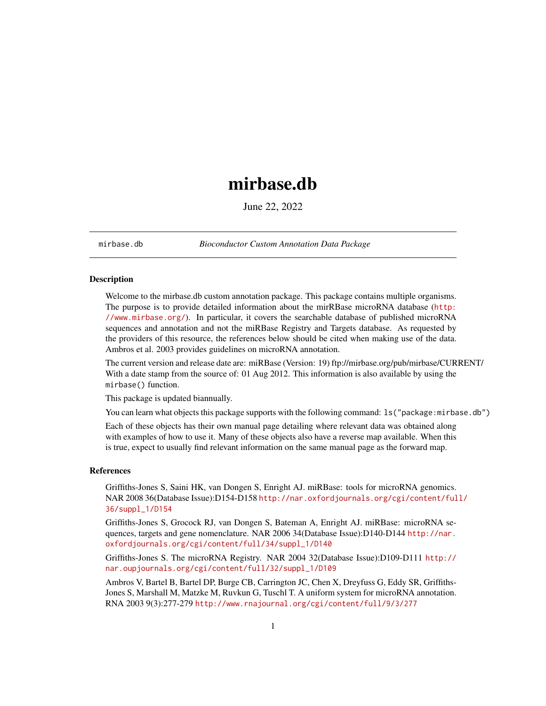## mirbase.db

June 22, 2022

<span id="page-0-1"></span><span id="page-0-0"></span>mirbase.db *Bioconductor Custom Annotation Data Package*

#### Description

Welcome to the mirbase.db custom annotation package. This package contains multiple organisms. The purpose is to provide detailed information about the mirRBase microRNA database ([http:](http://www.mirbase.org/) [//www.mirbase.org/](http://www.mirbase.org/)). In particular, it covers the searchable database of published microRNA sequences and annotation and not the miRBase Registry and Targets database. As requested by the providers of this resource, the references below should be cited when making use of the data. Ambros et al. 2003 provides guidelines on microRNA annotation.

The current version and release date are: miRBase (Version: 19) ftp://mirbase.org/pub/mirbase/CURRENT/ With a date stamp from the source of: 01 Aug 2012. This information is also available by using the mirbase() function.

This package is updated biannually.

You can learn what objects this package supports with the following command:  $ls('package::minbase.db")$ 

Each of these objects has their own manual page detailing where relevant data was obtained along with examples of how to use it. Many of these objects also have a reverse map available. When this is true, expect to usually find relevant information on the same manual page as the forward map.

### References

Griffiths-Jones S, Saini HK, van Dongen S, Enright AJ. miRBase: tools for microRNA genomics. NAR 2008 36(Database Issue):D154-D158 [http://nar.oxfordjournals.org/cgi/content/ful](http://nar.oxfordjournals.org/cgi/content/full/36/suppl_1/D154)l/ [36/suppl\\_1/D154](http://nar.oxfordjournals.org/cgi/content/full/36/suppl_1/D154)

Griffiths-Jones S, Grocock RJ, van Dongen S, Bateman A, Enright AJ. miRBase: microRNA sequences, targets and gene nomenclature. NAR 2006 34(Database Issue):D140-D144 [http://nar.](http://nar.oxfordjournals.org/cgi/content/full/34/suppl_1/D140) [oxfordjournals.org/cgi/content/full/34/suppl\\_1/D140](http://nar.oxfordjournals.org/cgi/content/full/34/suppl_1/D140)

Griffiths-Jones S. The microRNA Registry. NAR 2004 32(Database Issue):D109-D111 [http://](http://nar.oupjournals.org/cgi/content/full/32/suppl_1/D109) [nar.oupjournals.org/cgi/content/full/32/suppl\\_1/D109](http://nar.oupjournals.org/cgi/content/full/32/suppl_1/D109)

Ambros V, Bartel B, Bartel DP, Burge CB, Carrington JC, Chen X, Dreyfuss G, Eddy SR, Griffiths-Jones S, Marshall M, Matzke M, Ruvkun G, Tuschl T. A uniform system for microRNA annotation. RNA 2003 9(3):277-279 <http://www.rnajournal.org/cgi/content/full/9/3/277>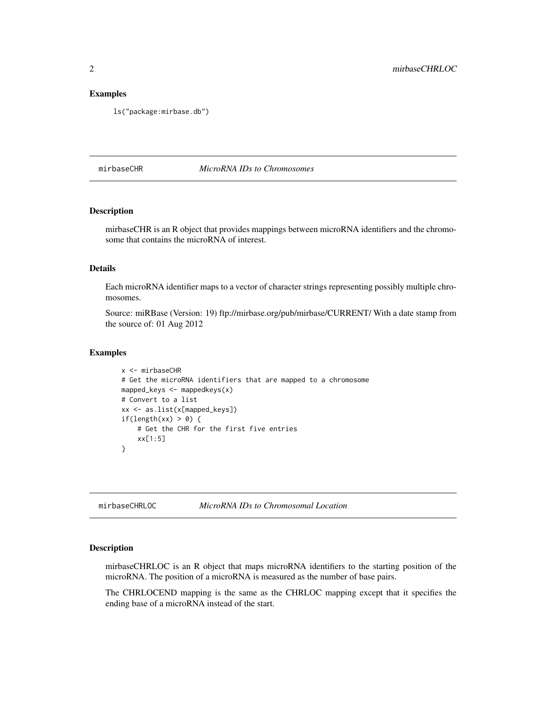#### <span id="page-1-0"></span>Examples

ls("package:mirbase.db")

mirbaseCHR *MicroRNA IDs to Chromosomes*

## Description

mirbaseCHR is an R object that provides mappings between microRNA identifiers and the chromosome that contains the microRNA of interest.

#### Details

Each microRNA identifier maps to a vector of character strings representing possibly multiple chromosomes.

Source: miRBase (Version: 19) ftp://mirbase.org/pub/mirbase/CURRENT/ With a date stamp from the source of: 01 Aug 2012

## Examples

```
x <- mirbaseCHR
# Get the microRNA identifiers that are mapped to a chromosome
mapped_keys <- mappedkeys(x)
# Convert to a list
xx <- as.list(x[mapped_keys])
if(length(xx) > 0) {
    # Get the CHR for the first five entries
    xx[1:5]
}
```
mirbaseCHRLOC *MicroRNA IDs to Chromosomal Location*

#### Description

mirbaseCHRLOC is an R object that maps microRNA identifiers to the starting position of the microRNA. The position of a microRNA is measured as the number of base pairs.

The CHRLOCEND mapping is the same as the CHRLOC mapping except that it specifies the ending base of a microRNA instead of the start.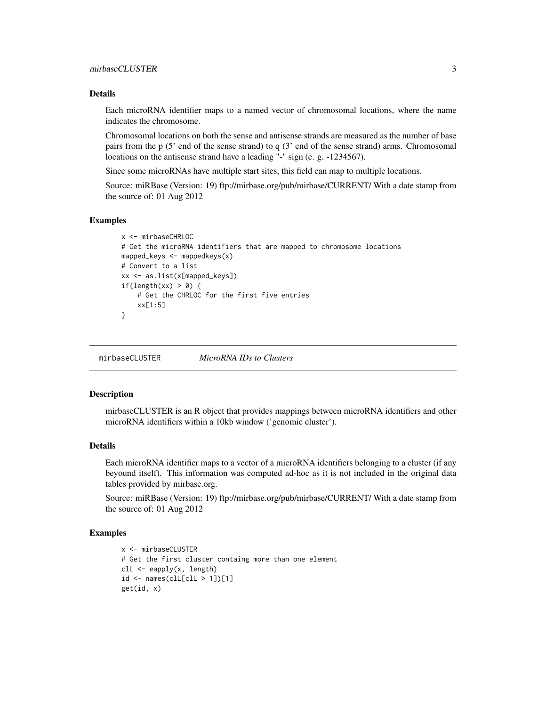## <span id="page-2-0"></span>Details

Each microRNA identifier maps to a named vector of chromosomal locations, where the name indicates the chromosome.

Chromosomal locations on both the sense and antisense strands are measured as the number of base pairs from the p (5' end of the sense strand) to q (3' end of the sense strand) arms. Chromosomal locations on the antisense strand have a leading "-" sign (e. g. -1234567).

Since some microRNAs have multiple start sites, this field can map to multiple locations.

Source: miRBase (Version: 19) ftp://mirbase.org/pub/mirbase/CURRENT/ With a date stamp from the source of: 01 Aug 2012

## Examples

```
x <- mirbaseCHRLOC
# Get the microRNA identifiers that are mapped to chromosome locations
mapped_keys \leq mappedkeys(x)
# Convert to a list
xx <- as.list(x[mapped_keys])
if(length(xx) > 0) {
    # Get the CHRLOC for the first five entries
    xx[1:5]
}
```
mirbaseCLUSTER *MicroRNA IDs to Clusters*

#### Description

mirbaseCLUSTER is an R object that provides mappings between microRNA identifiers and other microRNA identifiers within a 10kb window ('genomic cluster').

## Details

Each microRNA identifier maps to a vector of a microRNA identifiers belonging to a cluster (if any beyound itself). This information was computed ad-hoc as it is not included in the original data tables provided by mirbase.org.

Source: miRBase (Version: 19) ftp://mirbase.org/pub/mirbase/CURRENT/ With a date stamp from the source of: 01 Aug 2012

```
x <- mirbaseCLUSTER
# Get the first cluster containg more than one element
clL <- eapply(x, length)
id \leftarrow names(clL[clL > 1])[1]
get(id, x)
```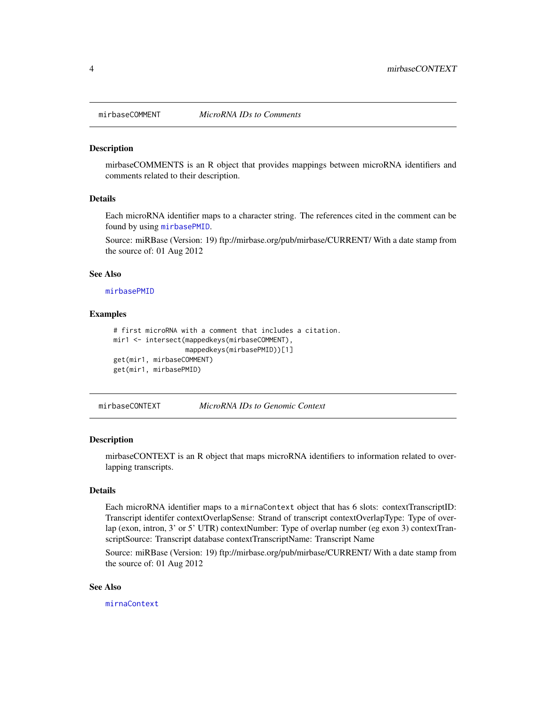<span id="page-3-2"></span><span id="page-3-0"></span>

mirbaseCOMMENTS is an R object that provides mappings between microRNA identifiers and comments related to their description.

#### Details

Each microRNA identifier maps to a character string. The references cited in the comment can be found by using [mirbasePMID](#page-9-0).

Source: miRBase (Version: 19) ftp://mirbase.org/pub/mirbase/CURRENT/ With a date stamp from the source of: 01 Aug 2012

## See Also

[mirbasePMID](#page-9-0)

## Examples

```
# first microRNA with a comment that includes a citation.
mir1 <- intersect(mappedkeys(mirbaseCOMMENT),
                  mappedkeys(mirbasePMID))[1]
get(mir1, mirbaseCOMMENT)
get(mir1, mirbasePMID)
```
<span id="page-3-1"></span>mirbaseCONTEXT *MicroRNA IDs to Genomic Context*

#### Description

mirbaseCONTEXT is an R object that maps microRNA identifiers to information related to overlapping transcripts.

## Details

Each microRNA identifier maps to a mirnaContext object that has 6 slots: contextTranscriptID: Transcript identifer contextOverlapSense: Strand of transcript contextOverlapType: Type of overlap (exon, intron, 3' or 5' UTR) contextNumber: Type of overlap number (eg exon 3) contextTranscriptSource: Transcript database contextTranscriptName: Transcript Name

Source: miRBase (Version: 19) ftp://mirbase.org/pub/mirbase/CURRENT/ With a date stamp from the source of: 01 Aug 2012

## See Also

[mirnaContext](#page-13-0)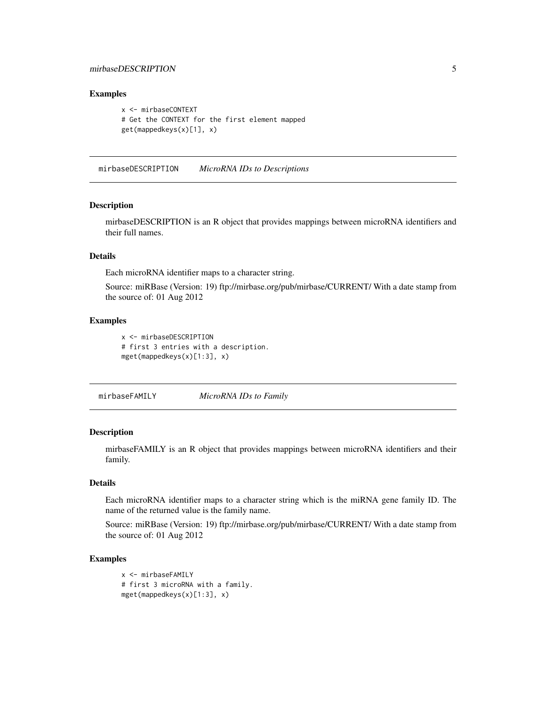## <span id="page-4-0"></span>mirbaseDESCRIPTION 5

#### Examples

```
x <- mirbaseCONTEXT
# Get the CONTEXT for the first element mapped
get(mappedkeys(x)[1], x)
```
mirbaseDESCRIPTION *MicroRNA IDs to Descriptions*

## Description

mirbaseDESCRIPTION is an R object that provides mappings between microRNA identifiers and their full names.

## Details

Each microRNA identifier maps to a character string.

Source: miRBase (Version: 19) ftp://mirbase.org/pub/mirbase/CURRENT/ With a date stamp from the source of: 01 Aug 2012

#### Examples

```
x <- mirbaseDESCRIPTION
# first 3 entries with a description.
mget(mappedkeys(x)[1:3], x)
```
mirbaseFAMILY *MicroRNA IDs to Family*

#### **Description**

mirbaseFAMILY is an R object that provides mappings between microRNA identifiers and their family.

## Details

Each microRNA identifier maps to a character string which is the miRNA gene family ID. The name of the returned value is the family name.

Source: miRBase (Version: 19) ftp://mirbase.org/pub/mirbase/CURRENT/ With a date stamp from the source of: 01 Aug 2012

```
x <- mirbaseFAMILY
# first 3 microRNA with a family.
mget(mappedkeys(x)[1:3], x)
```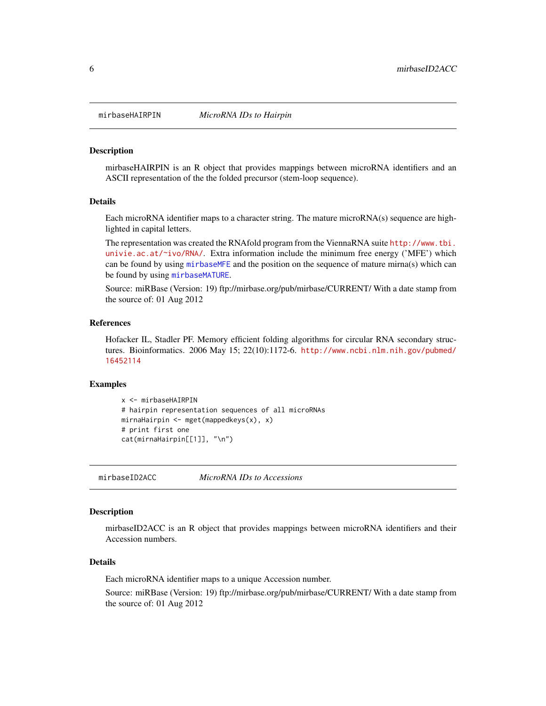<span id="page-5-1"></span><span id="page-5-0"></span>

mirbaseHAIRPIN is an R object that provides mappings between microRNA identifiers and an ASCII representation of the the folded precursor (stem-loop sequence).

#### Details

Each microRNA identifier maps to a character string. The mature microRNA(s) sequence are highlighted in capital letters.

The representation was created the RNAfold program from the ViennaRNA suite [http://www.tbi.](http://www.tbi.univie.ac.at/~ivo/RNA/) [univie.ac.at/~ivo/RNA/](http://www.tbi.univie.ac.at/~ivo/RNA/). Extra information include the minimum free energy ('MFE') which can be found by using [mirbaseMFE](#page-8-0) and the position on the sequence of mature mirna(s) which can be found by using [mirbaseMATURE](#page-8-1).

Source: miRBase (Version: 19) ftp://mirbase.org/pub/mirbase/CURRENT/ With a date stamp from the source of: 01 Aug 2012

## References

Hofacker IL, Stadler PF. Memory efficient folding algorithms for circular RNA secondary structures. Bioinformatics. 2006 May 15; 22(10):1172-6. [http://www.ncbi.nlm.nih.gov/pubmed/](http://www.ncbi.nlm.nih.gov/pubmed/16452114) [16452114](http://www.ncbi.nlm.nih.gov/pubmed/16452114)

#### Examples

```
x <- mirbaseHAIRPIN
# hairpin representation sequences of all microRNAs
mirnaHairpin <- mget(mappedkeys(x), x)
# print first one
cat(mirnaHairpin[[1]], "\n")
```
mirbaseID2ACC *MicroRNA IDs to Accessions*

#### Description

mirbaseID2ACC is an R object that provides mappings between microRNA identifiers and their Accession numbers.

#### Details

Each microRNA identifier maps to a unique Accession number.

Source: miRBase (Version: 19) ftp://mirbase.org/pub/mirbase/CURRENT/ With a date stamp from the source of: 01 Aug 2012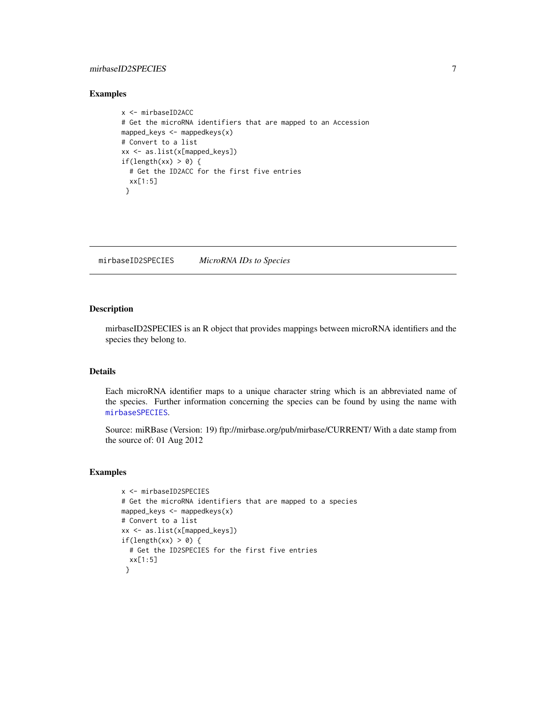## <span id="page-6-1"></span>mirbaseID2SPECIES 7

## Examples

```
x <- mirbaseID2ACC
# Get the microRNA identifiers that are mapped to an Accession
mapped_keys <- mappedkeys(x)
# Convert to a list
xx <- as.list(x[mapped_keys])
if(length(xx) > 0) {
 # Get the ID2ACC for the first five entries
 xx[1:5]
 }
```
<span id="page-6-0"></span>mirbaseID2SPECIES *MicroRNA IDs to Species*

## Description

mirbaseID2SPECIES is an R object that provides mappings between microRNA identifiers and the species they belong to.

### Details

Each microRNA identifier maps to a unique character string which is an abbreviated name of the species. Further information concerning the species can be found by using the name with [mirbaseSPECIES](#page-11-0).

Source: miRBase (Version: 19) ftp://mirbase.org/pub/mirbase/CURRENT/ With a date stamp from the source of: 01 Aug 2012

```
x <- mirbaseID2SPECIES
# Get the microRNA identifiers that are mapped to a species
mapped_keys <- mappedkeys(x)
# Convert to a list
xx <- as.list(x[mapped_keys])
if(length(xx) > 0) {
  # Get the ID2SPECIES for the first five entries
  xx[1:5]
 }
```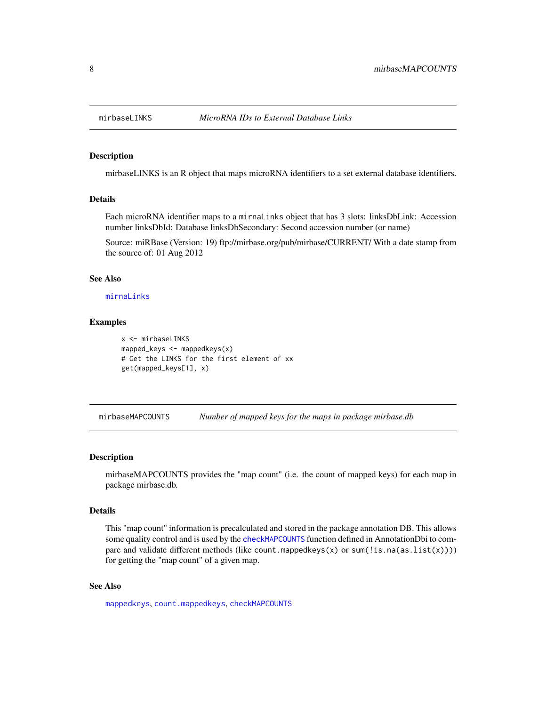<span id="page-7-1"></span><span id="page-7-0"></span>

mirbaseLINKS is an R object that maps microRNA identifiers to a set external database identifiers.

## Details

Each microRNA identifier maps to a mirnaLinks object that has 3 slots: linksDbLink: Accession number linksDbId: Database linksDbSecondary: Second accession number (or name)

Source: miRBase (Version: 19) ftp://mirbase.org/pub/mirbase/CURRENT/ With a date stamp from the source of: 01 Aug 2012

## See Also

[mirnaLinks](#page-14-0)

## Examples

```
x <- mirbaseLINKS
mapped_keys \leq mappedkeys(x)
# Get the LINKS for the first element of xx
get(mapped_keys[1], x)
```
mirbaseMAPCOUNTS *Number of mapped keys for the maps in package mirbase.db*

## Description

mirbaseMAPCOUNTS provides the "map count" (i.e. the count of mapped keys) for each map in package mirbase.db.

#### Details

This "map count" information is precalculated and stored in the package annotation DB. This allows some quality control and is used by the [checkMAPCOUNTS](#page-0-0) function defined in AnnotationDbi to compare and validate different methods (like count.mappedkeys(x) or sum(!is.na(as.list(x)))) for getting the "map count" of a given map.

## See Also

[mappedkeys](#page-0-0), [count.mappedkeys](#page-0-0), [checkMAPCOUNTS](#page-0-0)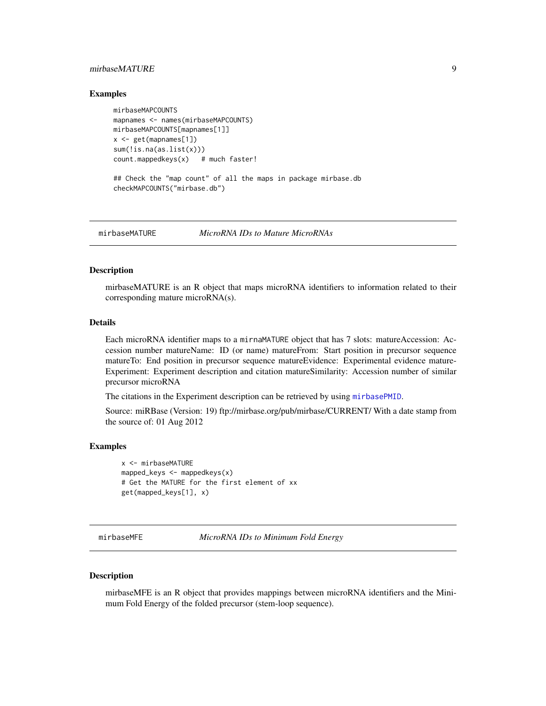## <span id="page-8-2"></span>mirbaseMATURE 9

#### Examples

```
mirbaseMAPCOUNTS
mapnames <- names(mirbaseMAPCOUNTS)
mirbaseMAPCOUNTS[mapnames[1]]
x \leq - get(mapnames[1])
sum(!is.na(as.list(x)))
count.mappedkeys(x) # much faster!
```
## Check the "map count" of all the maps in package mirbase.db checkMAPCOUNTS("mirbase.db")

<span id="page-8-1"></span>

mirbaseMATURE *MicroRNA IDs to Mature MicroRNAs*

## Description

mirbaseMATURE is an R object that maps microRNA identifiers to information related to their corresponding mature microRNA(s).

## Details

Each microRNA identifier maps to a mirnaMATURE object that has 7 slots: matureAccession: Accession number matureName: ID (or name) matureFrom: Start position in precursor sequence matureTo: End position in precursor sequence matureEvidence: Experimental evidence mature-Experiment: Experiment description and citation matureSimilarity: Accession number of similar precursor microRNA

The citations in the Experiment description can be retrieved by using [mirbasePMID](#page-9-0).

Source: miRBase (Version: 19) ftp://mirbase.org/pub/mirbase/CURRENT/ With a date stamp from the source of: 01 Aug 2012

#### Examples

```
x <- mirbaseMATURE
mapped_keys \leq mappedkeys(x)
# Get the MATURE for the first element of xx
get(mapped_keys[1], x)
```
<span id="page-8-0"></span>mirbaseMFE *MicroRNA IDs to Minimum Fold Energy*

#### Description

mirbaseMFE is an R object that provides mappings between microRNA identifiers and the Minimum Fold Energy of the folded precursor (stem-loop sequence).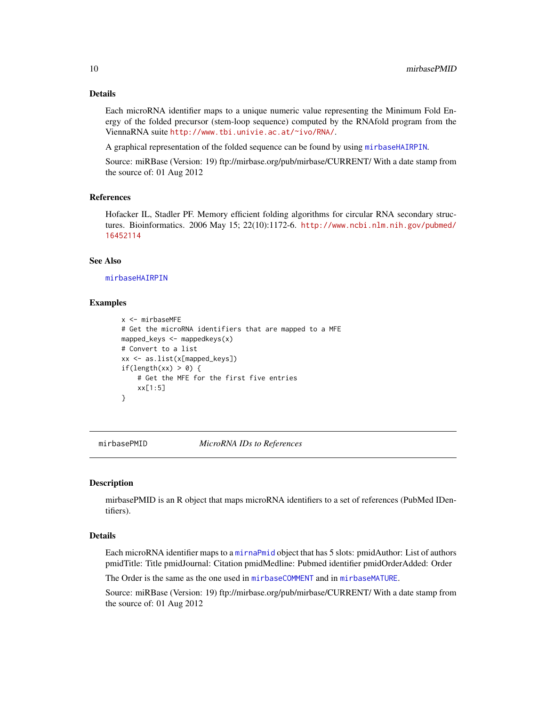## Details

Each microRNA identifier maps to a unique numeric value representing the Minimum Fold Energy of the folded precursor (stem-loop sequence) computed by the RNAfold program from the ViennaRNA suite <http://www.tbi.univie.ac.at/~ivo/RNA/>.

A graphical representation of the folded sequence can be found by using [mirbaseHAIRPIN](#page-5-0).

Source: miRBase (Version: 19) ftp://mirbase.org/pub/mirbase/CURRENT/ With a date stamp from the source of: 01 Aug 2012

## References

Hofacker IL, Stadler PF. Memory efficient folding algorithms for circular RNA secondary structures. Bioinformatics. 2006 May 15; 22(10):1172-6. [http://www.ncbi.nlm.nih.gov/pubmed/](http://www.ncbi.nlm.nih.gov/pubmed/16452114) [16452114](http://www.ncbi.nlm.nih.gov/pubmed/16452114)

## See Also

#### [mirbaseHAIRPIN](#page-5-0)

#### Examples

```
x <- mirbaseMFE
# Get the microRNA identifiers that are mapped to a MFE
mapped_keys <- mappedkeys(x)
# Convert to a list
xx <- as.list(x[mapped_keys])
if(length(xx) > 0) {
    # Get the MFE for the first five entries
    xx[1:5]
}
```
<span id="page-9-0"></span>mirbasePMID *MicroRNA IDs to References*

#### Description

mirbasePMID is an R object that maps microRNA identifiers to a set of references (PubMed IDentifiers).

#### Details

Each microRNA identifier maps to a [mirnaPmid](#page-15-0) object that has 5 slots: pmidAuthor: List of authors pmidTitle: Title pmidJournal: Citation pmidMedline: Pubmed identifier pmidOrderAdded: Order

The Order is the same as the one used in [mirbaseCOMMENT](#page-3-0) and in [mirbaseMATURE](#page-8-1).

Source: miRBase (Version: 19) ftp://mirbase.org/pub/mirbase/CURRENT/ With a date stamp from the source of: 01 Aug 2012

<span id="page-9-1"></span>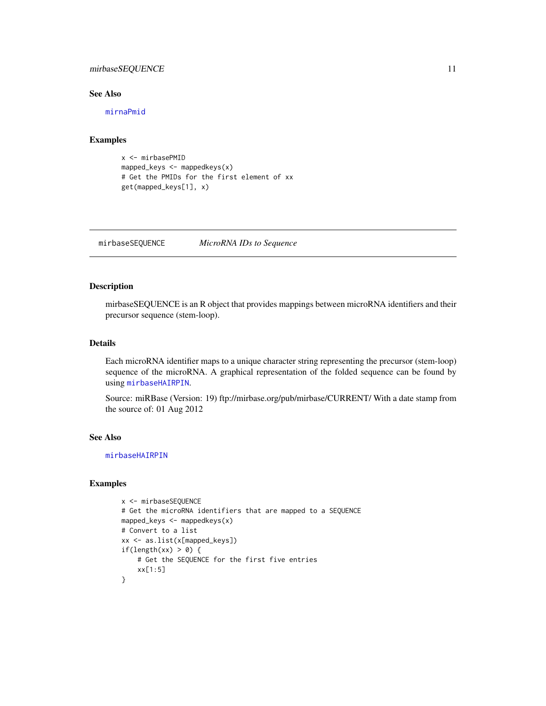## <span id="page-10-0"></span>mirbaseSEQUENCE 11

## See Also

[mirnaPmid](#page-15-0)

#### Examples

```
x <- mirbasePMID
mapped_keys <- mappedkeys(x)
# Get the PMIDs for the first element of xx
get(mapped_keys[1], x)
```
mirbaseSEQUENCE *MicroRNA IDs to Sequence*

## Description

mirbaseSEQUENCE is an R object that provides mappings between microRNA identifiers and their precursor sequence (stem-loop).

## Details

Each microRNA identifier maps to a unique character string representing the precursor (stem-loop) sequence of the microRNA. A graphical representation of the folded sequence can be found by using [mirbaseHAIRPIN](#page-5-0).

Source: miRBase (Version: 19) ftp://mirbase.org/pub/mirbase/CURRENT/ With a date stamp from the source of: 01 Aug 2012

## See Also

[mirbaseHAIRPIN](#page-5-0)

```
x <- mirbaseSEQUENCE
# Get the microRNA identifiers that are mapped to a SEQUENCE
mapped_keys <- mappedkeys(x)
# Convert to a list
xx <- as.list(x[mapped_keys])
if(length(xx) > 0) {
    # Get the SEQUENCE for the first five entries
    xx[1:5]
}
```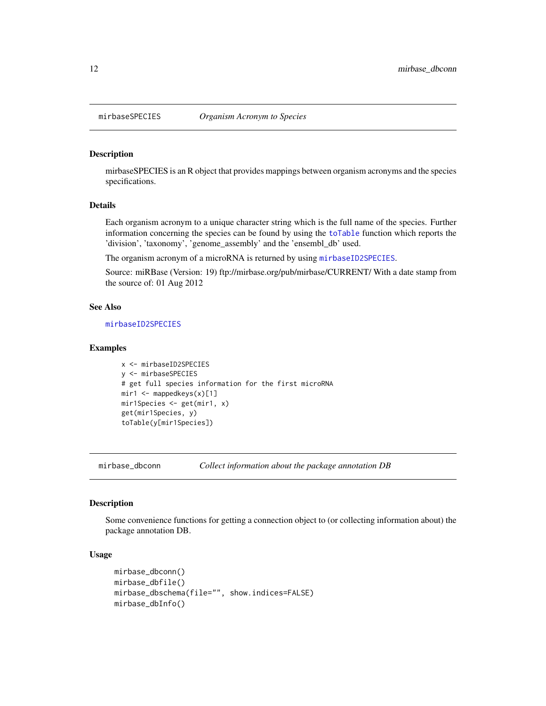mirbaseSPECIES is an R object that provides mappings between organism acronyms and the species specifications.

## Details

Each organism acronym to a unique character string which is the full name of the species. Further information concerning the species can be found by using the [toTable](#page-0-0) function which reports the 'division', 'taxonomy', 'genome\_assembly' and the 'ensembl\_db' used.

The organism acronym of a microRNA is returned by using [mirbaseID2SPECIES](#page-6-0).

Source: miRBase (Version: 19) ftp://mirbase.org/pub/mirbase/CURRENT/ With a date stamp from the source of: 01 Aug 2012

## See Also

[mirbaseID2SPECIES](#page-6-0)

## Examples

```
x <- mirbaseID2SPECIES
y <- mirbaseSPECIES
# get full species information for the first microRNA
min1 <- mappedkeys(x)[1]mir1Species <- get(mir1, x)
get(mir1Species, y)
toTable(y[mir1Species])
```
mirbase\_dbconn *Collect information about the package annotation DB*

#### Description

Some convenience functions for getting a connection object to (or collecting information about) the package annotation DB.

#### Usage

```
mirbase_dbconn()
mirbase_dbfile()
mirbase_dbschema(file="", show.indices=FALSE)
mirbase_dbInfo()
```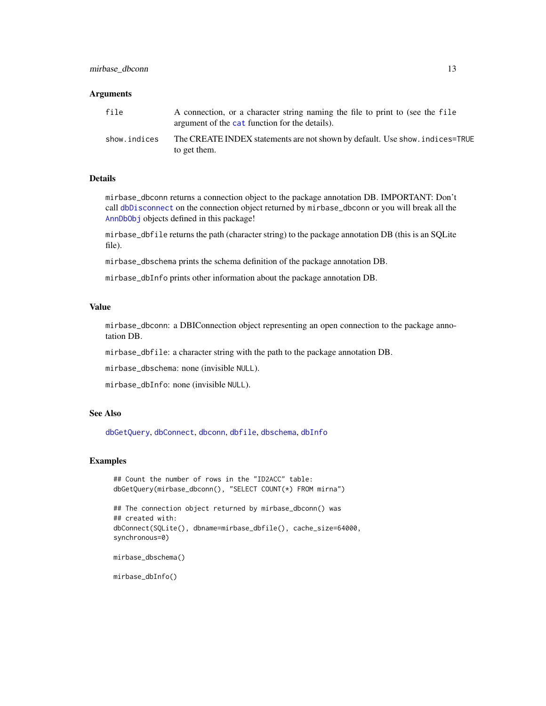#### <span id="page-12-0"></span>**Arguments**

| file         | A connection, or a character string naming the file to print to (see the file<br>argument of the cat function for the details). |
|--------------|---------------------------------------------------------------------------------------------------------------------------------|
| show.indices | The CREATE INDEX statements are not shown by default. Use show, indices=TRUE<br>to get them.                                    |

#### Details

mirbase\_dbconn returns a connection object to the package annotation DB. IMPORTANT: Don't call [dbDisconnect](#page-0-0) on the connection object returned by mirbase\_dbconn or you will break all the [AnnDbObj](#page-0-0) objects defined in this package!

mirbase\_dbfile returns the path (character string) to the package annotation DB (this is an SQLite file).

mirbase\_dbschema prints the schema definition of the package annotation DB.

mirbase\_dbInfo prints other information about the package annotation DB.

## Value

mirbase\_dbconn: a DBIConnection object representing an open connection to the package annotation DB.

mirbase\_dbfile: a character string with the path to the package annotation DB.

mirbase\_dbschema: none (invisible NULL).

mirbase\_dbInfo: none (invisible NULL).

#### See Also

[dbGetQuery](#page-0-0), [dbConnect](#page-0-0), [dbconn](#page-0-0), [dbfile](#page-0-0), [dbschema](#page-0-0), [dbInfo](#page-0-0)

## Examples

```
## Count the number of rows in the "ID2ACC" table:
dbGetQuery(mirbase_dbconn(), "SELECT COUNT(*) FROM mirna")
## The connection object returned by mirbase_dbconn() was
## created with:
dbConnect(SQLite(), dbname=mirbase_dbfile(), cache_size=64000,
synchronous=0)
mirbase_dbschema()
```
mirbase\_dbInfo()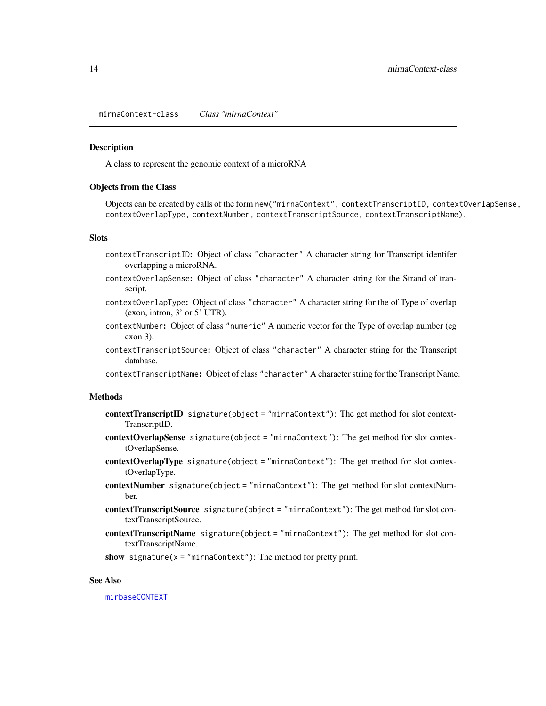<span id="page-13-1"></span>mirnaContext-class *Class "mirnaContext"*

#### <span id="page-13-0"></span>Description

A class to represent the genomic context of a microRNA

#### Objects from the Class

Objects can be created by calls of the form new("mirnaContext", contextTranscriptID, contextOverlapSense, contextOverlapType, contextNumber, contextTranscriptSource, contextTranscriptName).

#### **Slots**

- contextTranscriptID: Object of class "character" A character string for Transcript identifer overlapping a microRNA.
- contextOverlapSense: Object of class "character" A character string for the Strand of transcript.
- contextOverlapType: Object of class "character" A character string for the of Type of overlap (exon, intron, 3' or 5' UTR).
- contextNumber: Object of class "numeric" A numeric vector for the Type of overlap number (eg exon 3).
- contextTranscriptSource: Object of class "character" A character string for the Transcript database.

contextTranscriptName: Object of class "character" A character string for the Transcript Name.

#### Methods

- contextTranscriptID signature(object = "mirnaContext"): The get method for slot context-TranscriptID.
- contextOverlapSense signature(object = "mirnaContext"): The get method for slot contextOverlapSense.
- contextOverlapType signature(object = "mirnaContext"): The get method for slot contextOverlapType.
- contextNumber signature(object = "mirnaContext"): The get method for slot contextNumber.
- contextTranscriptSource signature(object = "mirnaContext"): The get method for slot contextTranscriptSource.
- contextTranscriptName signature(object = "mirnaContext"): The get method for slot contextTranscriptName.
- show signature( $x = "mincontext"$ ): The method for pretty print.

#### See Also

[mirbaseCONTEXT](#page-3-1)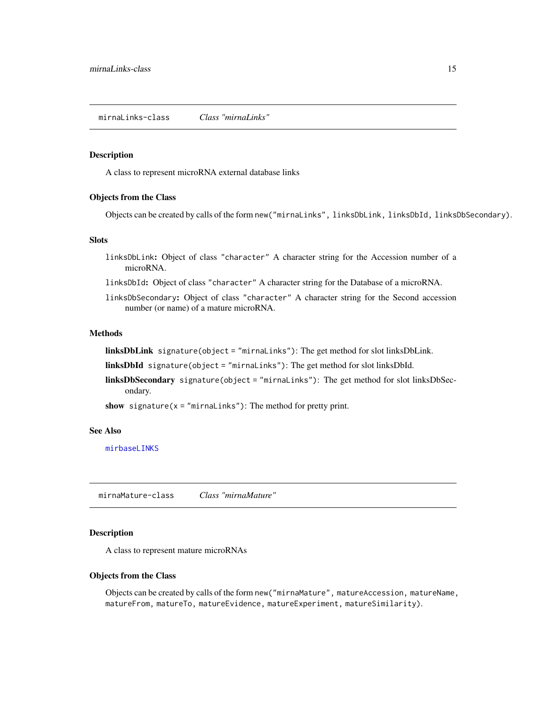<span id="page-14-1"></span><span id="page-14-0"></span>A class to represent microRNA external database links

#### Objects from the Class

Objects can be created by calls of the form new("mirnaLinks", linksDbLink, linksDbId, linksDbSecondary).

## **Slots**

- linksDbLink: Object of class "character" A character string for the Accession number of a microRNA.
- linksDbId: Object of class "character" A character string for the Database of a microRNA.
- linksDbSecondary: Object of class "character" A character string for the Second accession number (or name) of a mature microRNA.

#### Methods

linksDbLink signature(object = "mirnaLinks"): The get method for slot linksDbLink.

linksDbId signature(object = "mirnaLinks"): The get method for slot linksDbId.

linksDbSecondary signature(object = "mirnaLinks"): The get method for slot linksDbSecondary.

show signature( $x = "minimalinks")$ : The method for pretty print.

## See Also

[mirbaseLINKS](#page-7-0)

mirnaMature-class *Class "mirnaMature"*

#### Description

A class to represent mature microRNAs

#### Objects from the Class

Objects can be created by calls of the form new("mirnaMature", matureAccession, matureName, matureFrom, matureTo, matureEvidence, matureExperiment, matureSimilarity).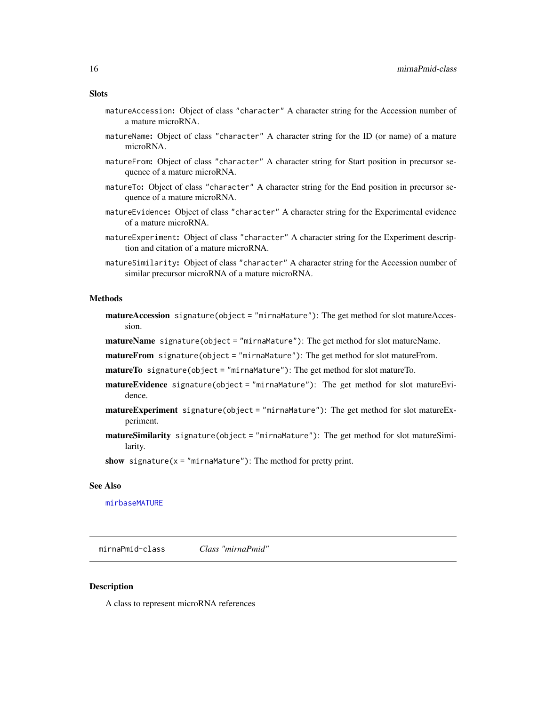#### <span id="page-15-1"></span>**Slots**

- matureAccession: Object of class "character" A character string for the Accession number of a mature microRNA.
- matureName: Object of class "character" A character string for the ID (or name) of a mature microRNA.
- matureFrom: Object of class "character" A character string for Start position in precursor sequence of a mature microRNA.
- matureTo: Object of class "character" A character string for the End position in precursor sequence of a mature microRNA.
- matureEvidence: Object of class "character" A character string for the Experimental evidence of a mature microRNA.
- matureExperiment: Object of class "character" A character string for the Experiment description and citation of a mature microRNA.
- matureSimilarity: Object of class "character" A character string for the Accession number of similar precursor microRNA of a mature microRNA.

#### Methods

matureAccession signature(object = "mirnaMature"): The get method for slot matureAccession.

matureName signature(object = "mirnaMature"): The get method for slot matureName.

matureFrom signature(object = "mirnaMature"): The get method for slot matureFrom.

matureTo signature(object = "mirnaMature"): The get method for slot matureTo.

- matureEvidence signature(object = "mirnaMature"): The get method for slot matureEvidence.
- matureExperiment signature(object = "mirnaMature"): The get method for slot matureExperiment.
- matureSimilarity signature(object = "mirnaMature"): The get method for slot matureSimilarity.

show signature( $x = "minname("')$ : The method for pretty print.

#### See Also

[mirbaseMATURE](#page-8-1)

mirnaPmid-class *Class "mirnaPmid"*

## <span id="page-15-0"></span>Description

A class to represent microRNA references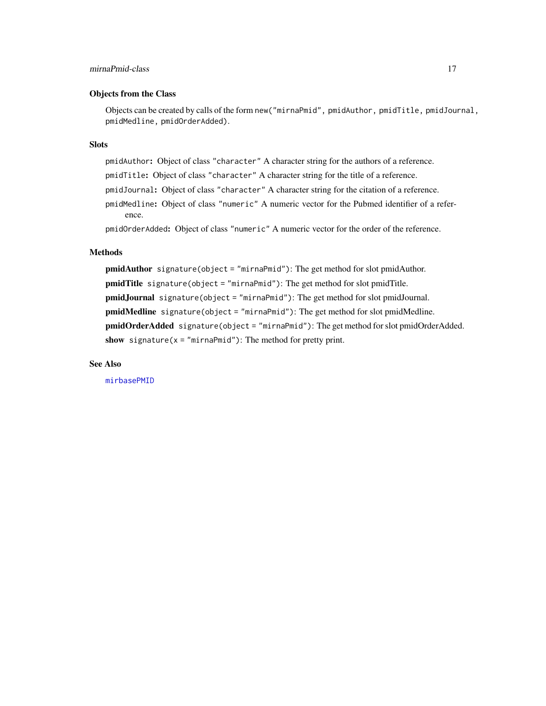## <span id="page-16-0"></span>mirnaPmid-class 17

## Objects from the Class

Objects can be created by calls of the form new ("mirnaPmid", pmidAuthor, pmidTitle, pmidJournal, pmidMedline, pmidOrderAdded).

## Slots

pmidAuthor: Object of class "character" A character string for the authors of a reference.

pmidTitle: Object of class "character" A character string for the title of a reference.

pmidJournal: Object of class "character" A character string for the citation of a reference.

pmidMedline: Object of class "numeric" A numeric vector for the Pubmed identifier of a reference.

pmidOrderAdded: Object of class "numeric" A numeric vector for the order of the reference.

## **Methods**

pmidAuthor signature(object = "mirnaPmid"): The get method for slot pmidAuthor. pmidTitle signature(object = "mirnaPmid"): The get method for slot pmidTitle. pmidJournal signature(object = "mirnaPmid"): The get method for slot pmidJournal. pmidMedline signature(object = "mirnaPmid"): The get method for slot pmidMedline. pmidOrderAdded signature(object = "mirnaPmid"): The get method for slot pmidOrderAdded. show signature( $x = "minrand"$ ): The method for pretty print.

## See Also

[mirbasePMID](#page-9-0)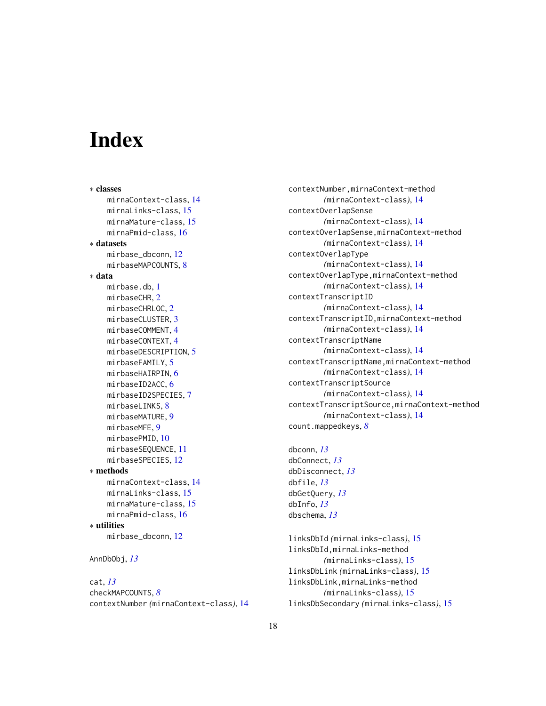# Index

∗ classes mirnaContext-class, [14](#page-13-1) mirnaLinks-class, [15](#page-14-1) mirnaMature-class, [15](#page-14-1) mirnaPmid-class, [16](#page-15-1) ∗ datasets mirbase\_dbconn, [12](#page-11-1) mirbaseMAPCOUNTS, [8](#page-7-1) ∗ data mirbase.db, [1](#page-0-1) mirbaseCHR, [2](#page-1-0) mirbaseCHRLOC, [2](#page-1-0) mirbaseCLUSTER, [3](#page-2-0) mirbaseCOMMENT, [4](#page-3-2) mirbaseCONTEXT, [4](#page-3-2) mirbaseDESCRIPTION, [5](#page-4-0) mirbaseFAMILY, [5](#page-4-0) mirbaseHAIRPIN, [6](#page-5-1) mirbaseID2ACC, [6](#page-5-1) mirbaseID2SPECIES, [7](#page-6-1) mirbaseLINKS, [8](#page-7-1) mirbaseMATURE, [9](#page-8-2) mirbaseMFE, [9](#page-8-2) mirbasePMID, [10](#page-9-1) mirbaseSEQUENCE, [11](#page-10-0) mirbaseSPECIES, [12](#page-11-1) ∗ methods mirnaContext-class, [14](#page-13-1)  $m$ irnalinks-class  $15$ mirnaMature-class, [15](#page-14-1) mirnaPmid-class, [16](#page-15-1) ∗ utilities mirbase\_dbconn, [12](#page-11-1) AnnDbObj, *[13](#page-12-0)*

cat, *[13](#page-12-0)* checkMAPCOUNTS, *[8](#page-7-1)* contextNumber *(*mirnaContext-class*)*, [14](#page-13-1) contextNumber,mirnaContext-method *(*mirnaContext-class*)*, [14](#page-13-1) contextOverlapSense *(*mirnaContext-class*)*, [14](#page-13-1) contextOverlapSense,mirnaContext-method *(*mirnaContext-class*)*, [14](#page-13-1) contextOverlapType *(*mirnaContext-class*)*, [14](#page-13-1) contextOverlapType,mirnaContext-method *(*mirnaContext-class*)*, [14](#page-13-1) contextTranscriptID *(*mirnaContext-class*)*, [14](#page-13-1) contextTranscriptID,mirnaContext-method *(*mirnaContext-class*)*, [14](#page-13-1) contextTranscriptName *(*mirnaContext-class*)*, [14](#page-13-1) contextTranscriptName,mirnaContext-method *(*mirnaContext-class*)*, [14](#page-13-1) contextTranscriptSource *(*mirnaContext-class*)*, [14](#page-13-1) contextTranscriptSource,mirnaContext-method *(*mirnaContext-class*)*, [14](#page-13-1) count.mappedkeys, *[8](#page-7-1)*

dbconn, *[13](#page-12-0)* dbConnect, *[13](#page-12-0)* dbDisconnect, *[13](#page-12-0)* dbfile, *[13](#page-12-0)* dbGetQuery, *[13](#page-12-0)* dbInfo, *[13](#page-12-0)* dbschema, *[13](#page-12-0)*

linksDbId *(*mirnaLinks-class*)*, [15](#page-14-1) linksDbId,mirnaLinks-method *(*mirnaLinks-class*)*, [15](#page-14-1) linksDbLink *(*mirnaLinks-class*)*, [15](#page-14-1) linksDbLink,mirnaLinks-method *(*mirnaLinks-class*)*, [15](#page-14-1) linksDbSecondary *(*mirnaLinks-class*)*, [15](#page-14-1)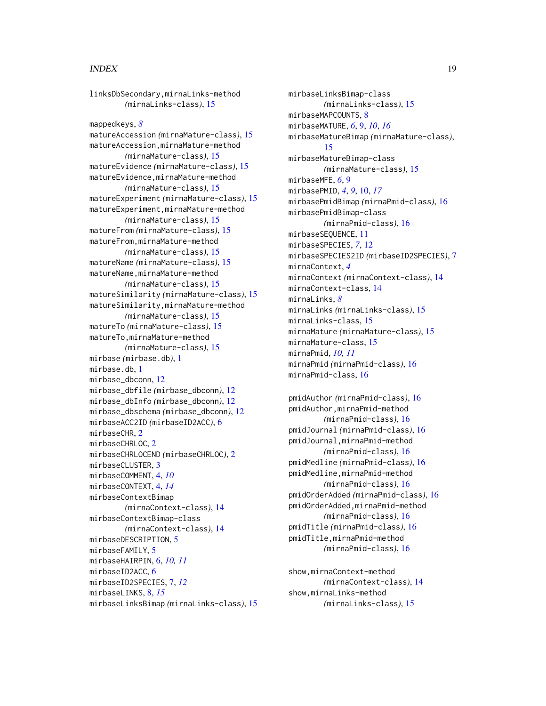## INDEX  $19$

linksDbSecondary,mirnaLinks-method *(*mirnaLinks-class*)*, [15](#page-14-1) mappedkeys, *[8](#page-7-1)* matureAccession *(*mirnaMature-class*)*, [15](#page-14-1) matureAccession,mirnaMature-method *(*mirnaMature-class*)*, [15](#page-14-1) matureEvidence *(*mirnaMature-class*)*, [15](#page-14-1) matureEvidence,mirnaMature-method *(*mirnaMature-class*)*, [15](#page-14-1) matureExperiment *(*mirnaMature-class*)*, [15](#page-14-1) matureExperiment,mirnaMature-method *(*mirnaMature-class*)*, [15](#page-14-1) matureFrom *(*mirnaMature-class*)*, [15](#page-14-1) matureFrom,mirnaMature-method *(*mirnaMature-class*)*, [15](#page-14-1) matureName *(*mirnaMature-class*)*, [15](#page-14-1) matureName,mirnaMature-method *(*mirnaMature-class*)*, [15](#page-14-1) matureSimilarity *(*mirnaMature-class*)*, [15](#page-14-1) matureSimilarity,mirnaMature-method *(*mirnaMature-class*)*, [15](#page-14-1) matureTo *(*mirnaMature-class*)*, [15](#page-14-1) matureTo,mirnaMature-method *(*mirnaMature-class*)*, [15](#page-14-1) mirbase *(*mirbase.db*)*, [1](#page-0-1) mirbase.db, [1](#page-0-1) mirbase\_dbconn, [12](#page-11-1) mirbase\_dbfile *(*mirbase\_dbconn*)*, [12](#page-11-1) mirbase\_dbInfo *(*mirbase\_dbconn*)*, [12](#page-11-1) mirbase\_dbschema *(*mirbase\_dbconn*)*, [12](#page-11-1) mirbaseACC2ID *(*mirbaseID2ACC*)*, [6](#page-5-1) mirbaseCHR, [2](#page-1-0) mirbaseCHRLOC, [2](#page-1-0) mirbaseCHRLOCEND *(*mirbaseCHRLOC*)*, [2](#page-1-0) mirbaseCLUSTER, [3](#page-2-0) mirbaseCOMMENT, [4,](#page-3-2) *[10](#page-9-1)* mirbaseCONTEXT, [4,](#page-3-2) *[14](#page-13-1)* mirbaseContextBimap *(*mirnaContext-class*)*, [14](#page-13-1) mirbaseContextBimap-class *(*mirnaContext-class*)*, [14](#page-13-1) mirbaseDESCRIPTION, [5](#page-4-0) mirbaseFAMILY, [5](#page-4-0) mirbaseHAIRPIN, [6,](#page-5-1) *[10,](#page-9-1) [11](#page-10-0)* mirbaseID2ACC, [6](#page-5-1) mirbaseID2SPECIES, [7,](#page-6-1) *[12](#page-11-1)* mirbaseLINKS, [8,](#page-7-1) *[15](#page-14-1)* mirbaseLinksBimap *(*mirnaLinks-class*)*, [15](#page-14-1)

mirbaseLinksBimap-class *(*mirnaLinks-class*)*, [15](#page-14-1) mirbaseMAPCOUNTS, [8](#page-7-1) mirbaseMATURE, *[6](#page-5-1)*, [9,](#page-8-2) *[10](#page-9-1)*, *[16](#page-15-1)* mirbaseMatureBimap *(*mirnaMature-class*)*, [15](#page-14-1) mirbaseMatureBimap-class *(*mirnaMature-class*)*, [15](#page-14-1) mirbaseMFE, *[6](#page-5-1)*, [9](#page-8-2) mirbasePMID, *[4](#page-3-2)*, *[9](#page-8-2)*, [10,](#page-9-1) *[17](#page-16-0)* mirbasePmidBimap *(*mirnaPmid-class*)*, [16](#page-15-1) mirbasePmidBimap-class *(*mirnaPmid-class*)*, [16](#page-15-1) mirbaseSEQUENCE, [11](#page-10-0) mirbaseSPECIES, *[7](#page-6-1)*, [12](#page-11-1) mirbaseSPECIES2ID *(*mirbaseID2SPECIES*)*, [7](#page-6-1) mirnaContext, *[4](#page-3-2)* mirnaContext *(*mirnaContext-class*)*, [14](#page-13-1) mirnaContext-class, [14](#page-13-1) mirnaLinks, *[8](#page-7-1)* mirnaLinks *(*mirnaLinks-class*)*, [15](#page-14-1) mirnaLinks-class, [15](#page-14-1) mirnaMature *(*mirnaMature-class*)*, [15](#page-14-1) mirnaMature-class, [15](#page-14-1) mirnaPmid, *[10,](#page-9-1) [11](#page-10-0)* mirnaPmid *(*mirnaPmid-class*)*, [16](#page-15-1) mirnaPmid-class, [16](#page-15-1) pmidAuthor *(*mirnaPmid-class*)*, [16](#page-15-1)

pmidAuthor,mirnaPmid-method *(*mirnaPmid-class*)*, [16](#page-15-1) pmidJournal *(*mirnaPmid-class*)*, [16](#page-15-1) pmidJournal,mirnaPmid-method *(*mirnaPmid-class*)*, [16](#page-15-1) pmidMedline *(*mirnaPmid-class*)*, [16](#page-15-1) pmidMedline, mirnaPmid-method *(*mirnaPmid-class*)*, [16](#page-15-1) pmidOrderAdded *(*mirnaPmid-class*)*, [16](#page-15-1) pmidOrderAdded,mirnaPmid-method *(*mirnaPmid-class*)*, [16](#page-15-1) pmidTitle *(*mirnaPmid-class*)*, [16](#page-15-1) pmidTitle,mirnaPmid-method *(*mirnaPmid-class*)*, [16](#page-15-1)

show,mirnaContext-method *(*mirnaContext-class*)*, [14](#page-13-1) show,mirnaLinks-method *(*mirnaLinks-class*)*, [15](#page-14-1)